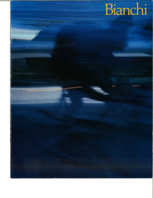## Bianchi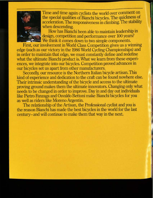

Time and time again cyclists the world over comment on the special qualities of Bianchi bicycles. The quickness of acceleration. The responsiveness in climbing. The stability when descending.

How has Bianchi been able to maintain leadership in design, competition and performance over 100 years? We think it comes down to two simple components.

First, our involvement in World Class Competition gives us <sup>a</sup>winning edge (such as our victory in the 1986 World Cycling Championships) and in order to maintain that edge, we must constantly define and redefine what the ultimate Bianchi product is. What we learn from these experiences, we integrate into our bicycles. Competition proved advances in our bicycles set us apart from other manufacturers.

Secondly, our resource is the Northern Italian bicycle artisan. This kind of experience and dedication to the craft can be found nowhere else. Their intrinsic understanding of the bicycle and access to the ultimate proving ground makes them the ultimate innovators. Changing only what needs to be changed in order to improve. Day in and day out individuals like Pietro Fanzaga and Osvaldo Bettoni make Bianchi bicycles for you as well as riders like Moreno Argentin.

The relationship of the Artisan, the Professional cyclist and you is the reason Bianchi has made the best bicycles in the world for the last century— and will continue to make them that way in the next.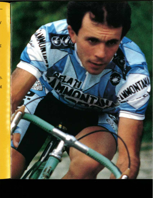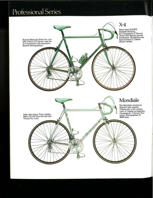## Professional Series

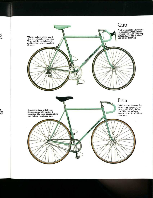